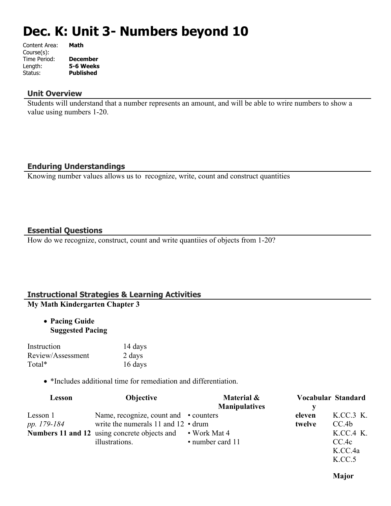# **Dec. K: Unit 3- Numbers beyond 10**

| Content Area: | Math             |
|---------------|------------------|
| Course(s):    |                  |
| Time Period:  | <b>December</b>  |
| Length:       | 5-6 Weeks        |
| Status:       | <b>Published</b> |
|               |                  |

#### **Unit Overview**

Students will understand that a number represents an amount, and will be able to wrire numbers to show a value using numbers 1-20.

# **Enduring Understandings**

Knowing number values allows us to recognize, write, count and construct quantities

### **Essential Questions**

How do we recognize, construct, count and write quantiies of objects from 1-20?

#### **Instructional Strategies & Learning Activities My Math Kindergarten Chapter 3**

 **Pacing Guide Suggested Pacing**

| Instruction       | 14 days |
|-------------------|---------|
| Review/Assessment | 2 days  |
| Total*            | 16 days |

\*Includes additional time for remediation and differentiation.

| Lesson      | <b>Objective</b>                                   | Material &           |        | Vocabular Standard |
|-------------|----------------------------------------------------|----------------------|--------|--------------------|
|             |                                                    | <b>Manipulatives</b> |        |                    |
| Lesson 1    | Name, recognize, count and • counters              |                      | eleven | K.CC.3 K.          |
| pp. 179-184 | write the numerals $11$ and $12 \cdot \text{drum}$ |                      | twelve | CC.4b              |
|             | Numbers 11 and 12 using concrete objects and       | • Work Mat 4         |        | K.CC.4 K.          |
|             | illustrations.                                     | • number card 11     |        | CC.4c              |
|             |                                                    |                      |        | K.CC.4a            |

**Major** 

K.CC.5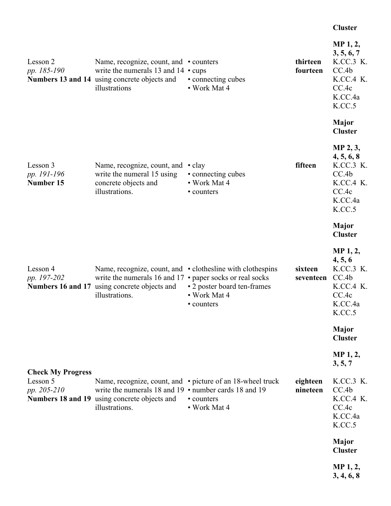#### **Cluster**

| Lesson 2<br>pp. 185-190                             | Name, recognize, count, and • counters<br>write the numerals 13 and $14 \cdot \text{cups}$<br>Numbers 13 and 14 using concrete objects and<br>illustrations | • connecting cubes<br>• Work Mat 4                                                                                      | thirteen<br>fourteen | MP 1, 2,<br>3, 5, 6, 7<br>K.CC.3 K.<br>CC.4b<br>K.CC.4 K.<br>CC.4c<br>K.CC.4a<br>K.CC.5 |
|-----------------------------------------------------|-------------------------------------------------------------------------------------------------------------------------------------------------------------|-------------------------------------------------------------------------------------------------------------------------|----------------------|-----------------------------------------------------------------------------------------|
|                                                     |                                                                                                                                                             |                                                                                                                         |                      | Major<br><b>Cluster</b>                                                                 |
| Lesson 3<br>pp. 191-196<br>Number 15                | Name, recognize, count, and<br>write the numeral 15 using<br>concrete objects and<br>illustrations.                                                         | $\cdot$ clay<br>• connecting cubes<br>• Work Mat 4<br>• counters                                                        | fifteen              | MP 2, 3,<br>4, 5, 6, 8<br>K.CC.3 K.<br>CC.4b<br>K.CC.4 K.<br>CC.4c<br>K.CC.4a<br>K.CC.5 |
|                                                     |                                                                                                                                                             |                                                                                                                         |                      | Major<br><b>Cluster</b>                                                                 |
| Lesson 4<br>pp. 197-202                             | write the numerals 16 and 17 $\cdot$ paper socks or real socks<br>Numbers 16 and 17 using concrete objects and<br>illustrations.                            | Name, recognize, count, and • clothesline with clothespins<br>• 2 poster board ten-frames<br>• Work Mat 4<br>• counters | sixteen<br>seventeen | MP 1, 2,<br>4, 5, 6<br>K.CC.3 K.<br>CC.4b<br>K.CC.4 K.<br>CC.4c<br>K.CC.4a<br>K.CC.5    |
|                                                     |                                                                                                                                                             |                                                                                                                         |                      | <b>Major</b><br><b>Cluster</b>                                                          |
|                                                     |                                                                                                                                                             |                                                                                                                         |                      | MP 1, 2,<br>3, 5, 7                                                                     |
| <b>Check My Progress</b><br>Lesson 5<br>pp. 205-210 | write the numerals 18 and 19 • number cards 18 and 19<br>Numbers 18 and 19 using concrete objects and<br>illustrations.                                     | Name, recognize, count, and • picture of an 18-wheel truck<br>• counters<br>• Work Mat 4                                | eighteen<br>nineteen | K.CC.3 K.<br>CC.4b<br>K.CC.4 K.<br>CC.4c<br>K.CC.4a<br>K.CC.5                           |
|                                                     |                                                                                                                                                             |                                                                                                                         |                      | <b>Major</b><br><b>Cluster</b>                                                          |
|                                                     |                                                                                                                                                             |                                                                                                                         |                      | MP <sub>1</sub> , 2,<br>3, 4, 6, 8                                                      |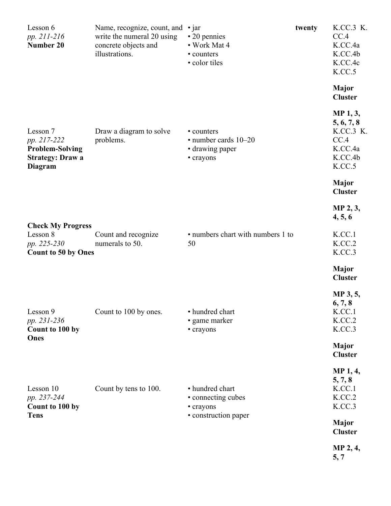| Lesson 6<br>pp. 211-216<br>Number 20                                                    | Name, recognize, count, and<br>write the numeral 20 using<br>concrete objects and<br>illustrations. | $\cdot$ jar<br>• 20 pennies<br>• Work Mat 4<br>• counters<br>• color tiles | twenty | K.CC.3 K.<br>CC.4<br>K.CC.4a<br>K.CC.4b<br>K.CC.4c<br>K.CC.5                                                                                    |
|-----------------------------------------------------------------------------------------|-----------------------------------------------------------------------------------------------------|----------------------------------------------------------------------------|--------|-------------------------------------------------------------------------------------------------------------------------------------------------|
| Lesson 7<br>pp. 217-222<br><b>Problem-Solving</b><br><b>Strategy: Draw a</b><br>Diagram | Draw a diagram to solve<br>problems.                                                                | • counters<br>• number cards 10-20<br>• drawing paper<br>• crayons         |        | <b>Major</b><br><b>Cluster</b><br>MP 1, 3,<br>5, 6, 7, 8<br>K.CC.3 K.<br>CC.4<br>K.CC.4a<br>K.CC.4b<br>K.CC.5<br><b>Major</b><br><b>Cluster</b> |
| <b>Check My Progress</b><br>Lesson 8<br>pp. 225-230<br><b>Count to 50 by Ones</b>       | Count and recognize<br>numerals to 50.                                                              | • numbers chart with numbers 1 to<br>50                                    |        | MP 2, 3,<br>4, 5, 6<br>K.CC.1<br>K.CC.2<br>K.CC.3<br><b>Major</b><br><b>Cluster</b>                                                             |
| Lesson 9<br>pp. 231-236<br>Count to 100 by<br>Ones                                      | Count to 100 by ones.                                                                               | • hundred chart<br>• game marker<br>• crayons                              |        | MP 3, 5,<br>6, 7, 8<br>K.CC.1<br>K.CC.2<br>K.CC.3<br><b>Major</b><br><b>Cluster</b>                                                             |
| Lesson 10<br>pp. 237-244<br>Count to 100 by<br><b>Tens</b>                              | Count by tens to 100.                                                                               | • hundred chart<br>• connecting cubes<br>• crayons<br>• construction paper |        | MP 1, 4,<br>5, 7, 8<br>K.CC.1<br>K.CC.2<br>K.CC.3<br><b>Major</b><br><b>Cluster</b><br>MP 2, 4,<br>5, 7                                         |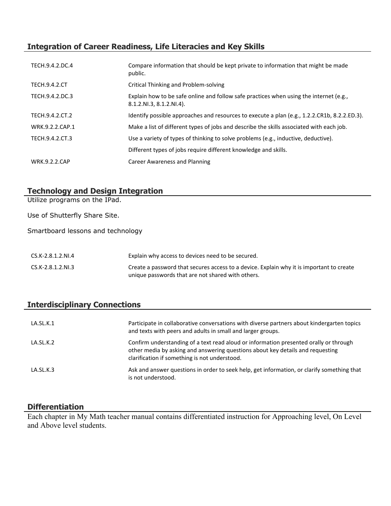# **Integration of Career Readiness, Life Literacies and Key Skills**

| TECH.9.4.2.DC.4      | Compare information that should be kept private to information that might be made<br>public.                       |
|----------------------|--------------------------------------------------------------------------------------------------------------------|
| <b>TECH.9.4.2.CT</b> | Critical Thinking and Problem-solving                                                                              |
| TECH.9.4.2.DC.3      | Explain how to be safe online and follow safe practices when using the internet (e.g.,<br>8.1.2.NI.3, 8.1.2.NI.4). |
| TECH.9.4.2.CT.2      | Identify possible approaches and resources to execute a plan (e.g., 1.2.2.CR1b, 8.2.2.ED.3).                       |
| WRK.9.2.2.CAP.1      | Make a list of different types of jobs and describe the skills associated with each job.                           |
| TECH.9.4.2.CT.3      | Use a variety of types of thinking to solve problems (e.g., inductive, deductive).                                 |
|                      | Different types of jobs require different knowledge and skills.                                                    |
| <b>WRK.9.2.2.CAP</b> | Career Awareness and Planning                                                                                      |

# **Technology and Design Integration**

Utilize programs on the IPad.

Use of Shutterfly Share Site.

Smartboard lessons and technology

| CS.K-2.8.1.2.NI.4 | Explain why access to devices need to be secured.                                        |
|-------------------|------------------------------------------------------------------------------------------|
| CS.K-2.8.1.2.NI.3 | Create a password that secures access to a device. Explain why it is important to create |
|                   | unique passwords that are not shared with others.                                        |

# **Interdisciplinary Connections**

| LA.SL.K.1 | Participate in collaborative conversations with diverse partners about kindergarten topics<br>and texts with peers and adults in small and larger groups.                                                                |
|-----------|--------------------------------------------------------------------------------------------------------------------------------------------------------------------------------------------------------------------------|
| LA.SL.K.2 | Confirm understanding of a text read aloud or information presented orally or through<br>other media by asking and answering questions about key details and requesting<br>clarification if something is not understood. |
| LA.SL.K.3 | Ask and answer questions in order to seek help, get information, or clarify something that<br>is not understood.                                                                                                         |

# **Differentiation**

Each chapter in My Math teacher manual contains differentiated instruction for Approaching level, On Level and Above level students.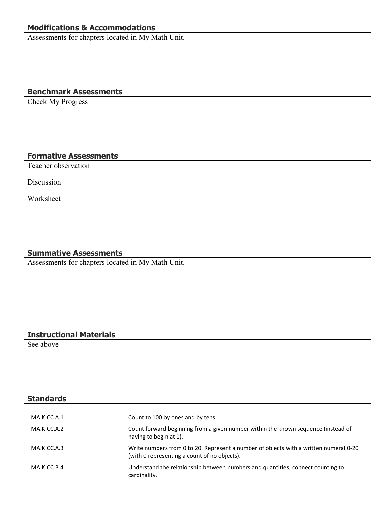# **Modifications & Accommodations**

Assessments for chapters located in My Math Unit.

#### **Benchmark Assessments**

Check My Progress

#### **Formative Assessments**

Teacher observation

Discussion

Worksheet

#### **Summative Assessments**

Assessments for chapters located in My Math Unit.

#### **Instructional Materials**

See above

**Standards**

# MA.K.CC.A.1 Count to 100 by ones and by tens. MA.K.CC.A.2 Count forward beginning from a given number within the known sequence (instead of having to begin at 1). MA.K.CC.A.3 Write numbers from 0 to 20. Represent a number of objects with a written numeral 0-20 (with 0 representing a count of no objects). MA.K.CC.B.4 Understand the relationship between numbers and quantities; connect counting to cardinality.